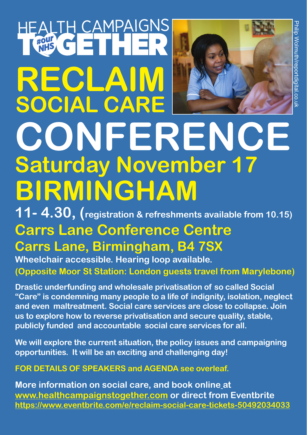# EALTH CAMPAIGNS **RECLAIM SOCIAL CARE**



# **CONFERENCE Saturday November 17 BIRMINGHAM**

**11- 4.30, (registration & refreshments available from 10.15)** 

## **Carrs Lane Conference Centre**

#### **Carrs Lane, Birmingham, B4 7SX Wheelchair accessible. Hearing loop available.**

**(Opposite Moor St Station: London guests travel from Marylebone)**

**Drastic underfunding and wholesale privatisation of so called Social "Care" is condemning many people to a life of indignity, isolation, neglect and even maltreatment. Social care services are close to collapse. Join us to explore how to reverse privatisation and secure quality, stable, publicly funded and accountable social care services for all.** 

**We will explore the current situation, the policy issues and campaigning opportunities. It will be an exciting and challenging day!**

#### **FOR DETAILS OF SPEAKERS and AGENDA see overleaf.**

**More information on social care, and book online at www.healthcampaignstogether.com or direct from Eventbrite https://www.eventbrite.com/e/reclaim-social-care-tickets-50492034033**